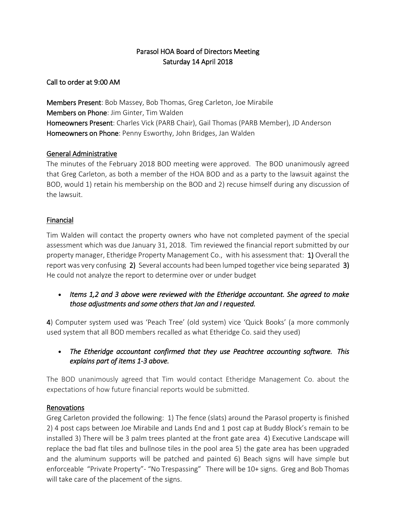# Parasol HOA Board of Directors Meeting Saturday 14 April 2018

Call to order at 9:00 AM

Members Present: Bob Massey, Bob Thomas, Greg Carleton, Joe Mirabile Members on Phone: Jim Ginter, Tim Walden Homeowners Present: Charles Vick (PARB Chair), Gail Thomas (PARB Member), JD Anderson Homeowners on Phone: Penny Esworthy, John Bridges, Jan Walden

## General Administrative

The minutes of the February 2018 BOD meeting were approved. The BOD unanimously agreed that Greg Carleton, as both a member of the HOA BOD and as a party to the lawsuit against the BOD, would 1) retain his membership on the BOD and 2) recuse himself during any discussion of the lawsuit.

## Financial

Tim Walden will contact the property owners who have not completed payment of the special assessment which was due January 31, 2018. Tim reviewed the financial report submitted by our property manager, Etheridge Property Management Co., with his assessment that: 1) Overall the report was very confusing 2) Several accounts had been lumped together vice being separated 3) He could not analyze the report to determine over or under budget

• *Items 1,2 and 3 above were reviewed with the Etheridge accountant. She agreed to make those adjustments and some others that Jan and I requested.* 

4) Computer system used was 'Peach Tree' (old system) vice 'Quick Books' (a more commonly used system that all BOD members recalled as what Etheridge Co. said they used)

• *The Etheridge accountant confirmed that they use Peachtree accounting software. This explains part of items 1-3 above.* 

The BOD unanimously agreed that Tim would contact Etheridge Management Co. about the expectations of how future financial reports would be submitted.

### **Renovations**

Greg Carleton provided the following: 1) The fence (slats) around the Parasol property is finished 2) 4 post caps between Joe Mirabile and Lands End and 1 post cap at Buddy Block's remain to be installed 3) There will be 3 palm trees planted at the front gate area 4) Executive Landscape will replace the bad flat tiles and bullnose tiles in the pool area 5) the gate area has been upgraded and the aluminum supports will be patched and painted 6) Beach signs will have simple but enforceable "Private Property"- "No Trespassing" There will be 10+ signs. Greg and Bob Thomas will take care of the placement of the signs.